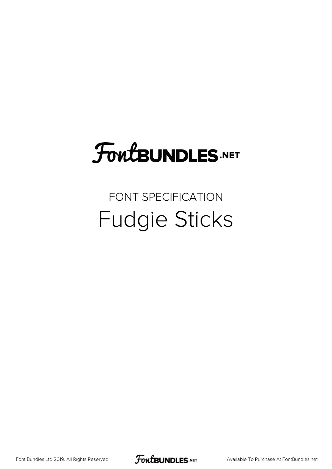# FoutBUNDLES.NET

### FONT SPECIFICATION Fudgie Sticks

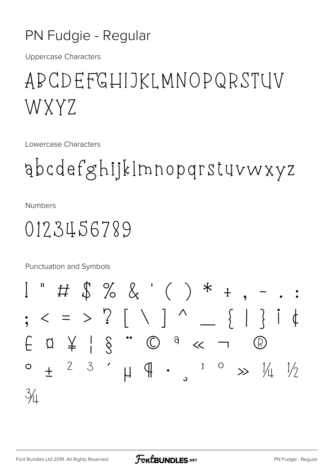#### PN Fudgie - Regular

**Uppercase Characters** 

# APCDEFGHIJKLMNOPQRSTUV WXYZ

Lowercase Characters

gbcdefghijklmnopgrstuvwxyz

**Numbers** 

## 0123456789

Punctuation and Symbols

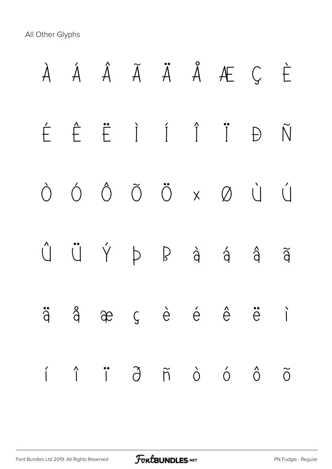All Other Glyphs

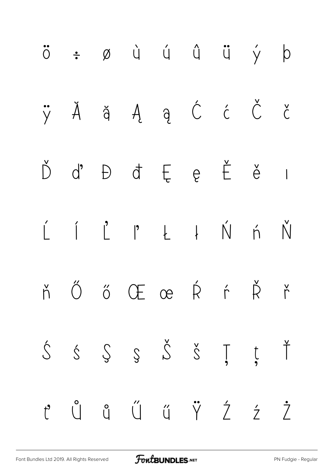